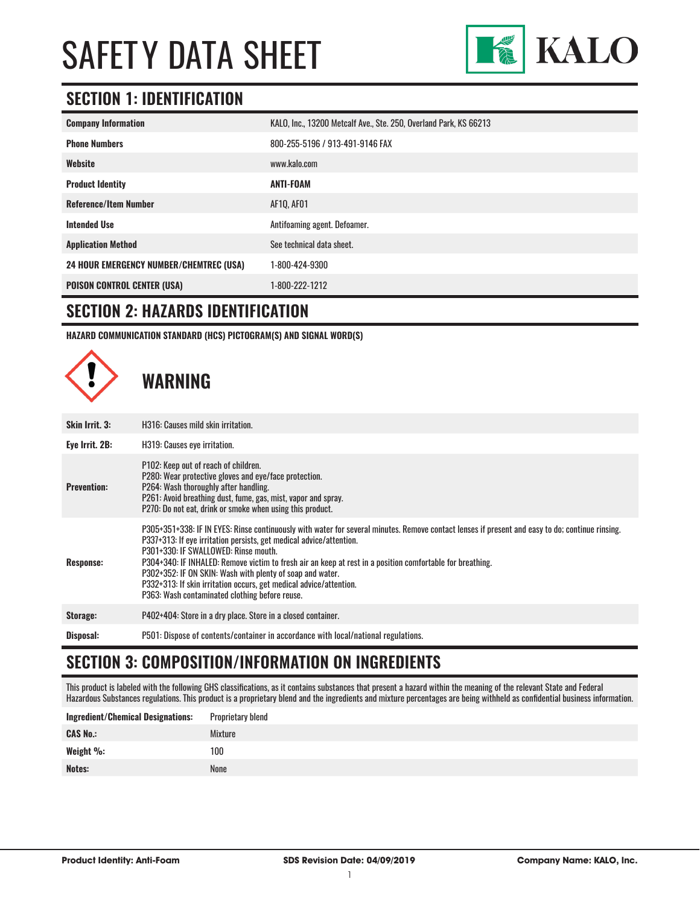

### **SECTION 1: IDENTIFICATION**

| <b>Company Information</b>                     | KALO, Inc., 13200 Metcalf Ave., Ste. 250, Overland Park, KS 66213 |
|------------------------------------------------|-------------------------------------------------------------------|
| <b>Phone Numbers</b>                           | 800-255-5196 / 913-491-9146 FAX                                   |
| Website                                        | www.kalo.com                                                      |
| <b>Product Identity</b>                        | ANTI-FOAM                                                         |
| <b>Reference/Item Number</b>                   | AF10, AF01                                                        |
| <b>Intended Use</b>                            | Antifoaming agent. Defoamer.                                      |
| <b>Application Method</b>                      | See technical data sheet.                                         |
| <b>24 HOUR EMERGENCY NUMBER/CHEMTREC (USA)</b> | 1-800-424-9300                                                    |
| <b>POISON CONTROL CENTER (USA)</b>             | 1-800-222-1212                                                    |

#### **SECTION 2: HAZARDS IDENTIFICATION**

**HAZARD COMMUNICATION STANDARD (HCS) PICTOGRAM(S) AND SIGNAL WORD(S)**



# **WARNING**

| <b>Skin Irrit. 3:</b> | H316: Causes mild skin irritation.                                                                                                                                                                                                                                                                                                                                                                                                                                                                                                                               |
|-----------------------|------------------------------------------------------------------------------------------------------------------------------------------------------------------------------------------------------------------------------------------------------------------------------------------------------------------------------------------------------------------------------------------------------------------------------------------------------------------------------------------------------------------------------------------------------------------|
| Eye Irrit. 2B:        | H319: Causes eye irritation.                                                                                                                                                                                                                                                                                                                                                                                                                                                                                                                                     |
| <b>Prevention:</b>    | P102: Keep out of reach of children.<br>P280: Wear protective gloves and eye/face protection.<br>P264: Wash thoroughly after handling.<br>P261: Avoid breathing dust, fume, gas, mist, vapor and spray.<br>P270: Do not eat, drink or smoke when using this product.                                                                                                                                                                                                                                                                                             |
| Response:             | P305+351+338: IF IN EYES: Rinse continuously with water for several minutes. Remove contact lenses if present and easy to do; continue rinsing.<br>P337+313: If eye irritation persists, get medical advice/attention.<br>P301+330: IF SWALLOWED: Rinse mouth.<br>P304+340: IF INHALED: Remove victim to fresh air an keep at rest in a position comfortable for breathing.<br>P302+352: IF ON SKIN: Wash with plenty of soap and water.<br>P332+313: If skin irritation occurs, get medical advice/attention.<br>P363: Wash contaminated clothing before reuse. |
| Storage:              | P402+404: Store in a dry place. Store in a closed container.                                                                                                                                                                                                                                                                                                                                                                                                                                                                                                     |
| Disposal:             | P501: Dispose of contents/container in accordance with local/national regulations.                                                                                                                                                                                                                                                                                                                                                                                                                                                                               |

#### **SECTION 3: COMPOSITION/INFORMATION ON INGREDIENTS**

This product is labeled with the following GHS classifications, as it contains substances that present a hazard within the meaning of the relevant State and Federal Hazardous Substances regulations. This product is a proprietary blend and the ingredients and mixture percentages are being withheld as confidential business information.

| <b>Ingredient/Chemical Designations:</b> | Proprietary blend |
|------------------------------------------|-------------------|
| <b>CAS No.:</b>                          | Mixture           |
| Weight %:                                | 100               |
| Notes:                                   | None              |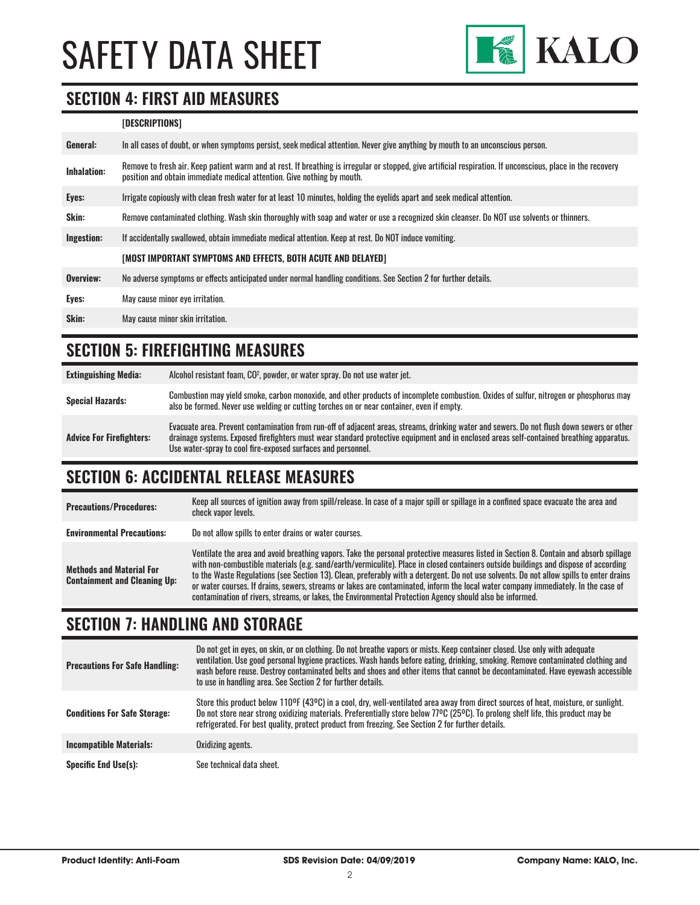

#### **SECTION 4: FIRST AID MEASURES**

#### **[DESCRIPTIONS]**

| Remove to fresh air. Keep patient warm and at rest. If breathing is irregular or stopped, give artificial respiration. If unconscious, place in the recovery<br><b>Inhalation:</b> |  |
|------------------------------------------------------------------------------------------------------------------------------------------------------------------------------------|--|
| position and obtain immediate medical attention. Give nothing by mouth.                                                                                                            |  |
| Irrigate copiously with clean fresh water for at least 10 minutes, holding the eyelids apart and seek medical attention.<br>Eyes:                                                  |  |
| <b>Skin:</b><br>Remove contaminated clothing. Wash skin thoroughly with soap and water or use a recognized skin cleanser. Do NOT use solvents or thinners.                         |  |
| Ingestion:<br>If accidentally swallowed, obtain immediate medical attention. Keep at rest. Do NOT induce vomiting.                                                                 |  |
| [MOST IMPORTANT SYMPTOMS AND EFFECTS, BOTH ACUTE AND DELAYED]                                                                                                                      |  |
| Overview:<br>No adverse symptoms or effects anticipated under normal handling conditions. See Section 2 for further details.                                                       |  |
| Eyes:<br>May cause minor eye irritation.                                                                                                                                           |  |
| Skin:<br>May cause minor skin irritation.                                                                                                                                          |  |

#### **SECTION 5: FIREFIGHTING MEASURES**

| <b>Extinguishing Media:</b>     | Alcohol resistant foam, CO <sup>2</sup> , powder, or water spray. Do not use water jet.                                                                                                                                                                                                                                                                |
|---------------------------------|--------------------------------------------------------------------------------------------------------------------------------------------------------------------------------------------------------------------------------------------------------------------------------------------------------------------------------------------------------|
| <b>Special Hazards:</b>         | Combustion may yield smoke, carbon monoxide, and other products of incomplete combustion. Oxides of sulfur, nitrogen or phosphorus may<br>also be formed. Never use welding or cutting torches on or near container, even if empty.                                                                                                                    |
| <b>Advice For Firefighters:</b> | Evacuate area. Prevent contamination from run-off of adjacent areas, streams, drinking water and sewers. Do not flush down sewers or other<br>drainage systems. Exposed firefighters must wear standard protective equipment and in enclosed areas self-contained breathing apparatus.<br>Use water-spray to cool fire-exposed surfaces and personnel. |

#### **SECTION 6: ACCIDENTAL RELEASE MEASURES**

| <b>Precautions/Procedures:</b>                                         | Keep all sources of ignition away from spill/release. In case of a major spill or spillage in a confined space evacuate the area and<br>check vapor levels.                                                                                                                                                                                                                                                                                                                                                                                                                                                                                                               |
|------------------------------------------------------------------------|---------------------------------------------------------------------------------------------------------------------------------------------------------------------------------------------------------------------------------------------------------------------------------------------------------------------------------------------------------------------------------------------------------------------------------------------------------------------------------------------------------------------------------------------------------------------------------------------------------------------------------------------------------------------------|
| <b>Environmental Precautions:</b>                                      | Do not allow spills to enter drains or water courses.                                                                                                                                                                                                                                                                                                                                                                                                                                                                                                                                                                                                                     |
| <b>Methods and Material For</b><br><b>Containment and Cleaning Up:</b> | Ventilate the area and avoid breathing vapors. Take the personal protective measures listed in Section 8. Contain and absorb spillage<br>with non-combustible materials (e.g. sand/earth/vermiculite). Place in closed containers outside buildings and dispose of according<br>to the Waste Regulations (see Section 13). Clean, preferably with a detergent. Do not use solvents. Do not allow spills to enter drains<br>or water courses. If drains, sewers, streams or lakes are contaminated, inform the local water company immediately. In the case of<br>contamination of rivers, streams, or lakes, the Environmental Protection Agency should also be informed. |

#### **SECTION 7: HANDLING AND STORAGE**

| <b>Precautions For Safe Handling:</b> | Do not get in eyes, on skin, or on clothing. Do not breathe vapors or mists. Keep container closed. Use only with adequate<br>ventilation. Use good personal hygiene practices. Wash hands before eating, drinking, smoking. Remove contaminated clothing and<br>wash before reuse. Destroy contaminated belts and shoes and other items that cannot be decontaminated. Have eyewash accessible<br>to use in handling area. See Section 2 for further details. |
|---------------------------------------|----------------------------------------------------------------------------------------------------------------------------------------------------------------------------------------------------------------------------------------------------------------------------------------------------------------------------------------------------------------------------------------------------------------------------------------------------------------|
| <b>Conditions For Safe Storage:</b>   | Store this product below 110ºF (43ºC) in a cool, dry, well-ventilated area away from direct sources of heat, moisture, or sunlight.<br>Do not store near strong oxidizing materials. Preferentially store below 77°C (25°C). To prolong shelf life, this product may be<br>refrigerated. For best quality, protect product from freezing. See Section 2 for further details.                                                                                   |
| <b>Incompatible Materials:</b>        | Oxidizing agents.                                                                                                                                                                                                                                                                                                                                                                                                                                              |
| <b>Specific End Use(s):</b>           | See technical data sheet.                                                                                                                                                                                                                                                                                                                                                                                                                                      |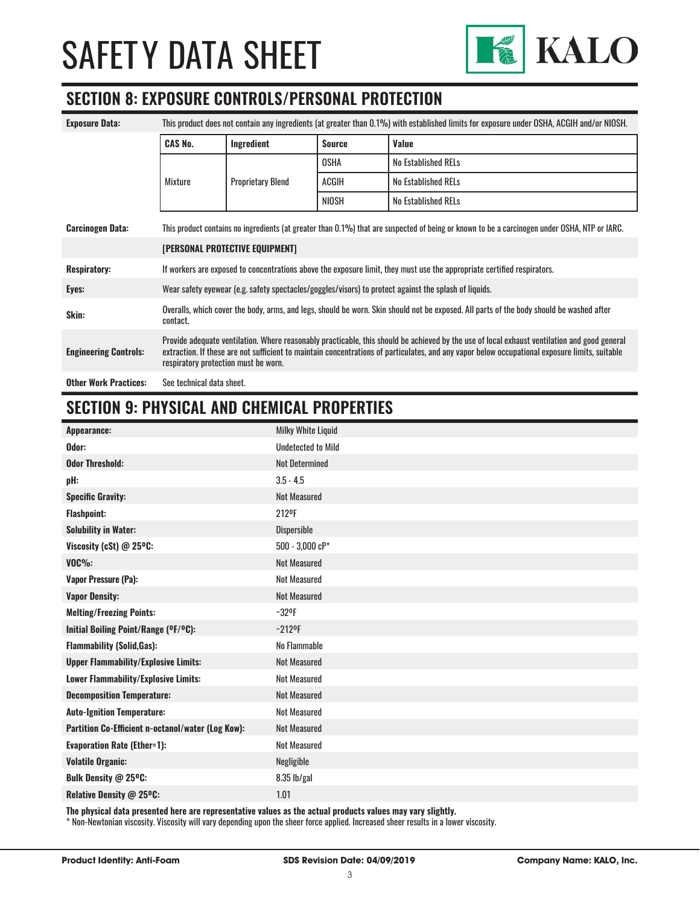

#### **SECTION 8: EXPOSURE CONTROLS/PERSONAL PROTECTION**

| <b>Exposure Data:</b>        | This product does not contain any ingredients (at greater than 0.1%) with established limits for exposure under OSHA, ACGIH and/or NIOSH.                                                                                                                                                                                              |                          |               |                     |
|------------------------------|----------------------------------------------------------------------------------------------------------------------------------------------------------------------------------------------------------------------------------------------------------------------------------------------------------------------------------------|--------------------------|---------------|---------------------|
|                              | <b>CAS No.</b>                                                                                                                                                                                                                                                                                                                         | Ingredient               | <b>Source</b> | Value               |
|                              |                                                                                                                                                                                                                                                                                                                                        |                          | <b>OSHA</b>   | No Established RELs |
|                              | Mixture                                                                                                                                                                                                                                                                                                                                | <b>Proprietary Blend</b> | ACGIH         | No Established RELs |
|                              |                                                                                                                                                                                                                                                                                                                                        |                          | NIOSH         | No Established RELs |
| <b>Carcinogen Data:</b>      | This product contains no ingredients (at greater than 0.1%) that are suspected of being or known to be a carcinogen under OSHA, NTP or IARC.                                                                                                                                                                                           |                          |               |                     |
|                              | <b>[PERSONAL PROTECTIVE EQUIPMENT]</b>                                                                                                                                                                                                                                                                                                 |                          |               |                     |
| <b>Respiratory:</b>          | If workers are exposed to concentrations above the exposure limit, they must use the appropriate certified respirators.                                                                                                                                                                                                                |                          |               |                     |
| Eyes:                        | Wear safety eyewear (e.g. safety spectacles/goggles/visors) to protect against the splash of liquids.                                                                                                                                                                                                                                  |                          |               |                     |
| Skin:                        | Overalls, which cover the body, arms, and legs, should be worn. Skin should not be exposed. All parts of the body should be washed after<br>contact.                                                                                                                                                                                   |                          |               |                     |
| <b>Engineering Controls:</b> | Provide adequate ventilation. Where reasonably practicable, this should be achieved by the use of local exhaust ventilation and good general<br>extraction. If these are not sufficient to maintain concentrations of particulates, and any vapor below occupational exposure limits, suitable<br>respiratory protection must be worn. |                          |               |                     |
| <b>Other Work Practices:</b> | See technical data sheet.                                                                                                                                                                                                                                                                                                              |                          |               |                     |

#### **SECTION 9: PHYSICAL AND CHEMICAL PROPERTIES**

| Appearance:                                       | <b>Milky White Liquid</b> |
|---------------------------------------------------|---------------------------|
| Odor:                                             | <b>Undetected to Mild</b> |
| <b>Odor Threshold:</b>                            | <b>Not Determined</b>     |
| pH:                                               | $3.5 - 4.5$               |
| <b>Specific Gravity:</b>                          | <b>Not Measured</b>       |
| <b>Flashpoint:</b>                                | 212 <sup>o</sup> F        |
| <b>Solubility in Water:</b>                       | Dispersible               |
| Viscosity (cSt) @ 25°C:                           | $500 - 3,000$ cP*         |
| $VOC\%$ :                                         | <b>Not Measured</b>       |
| <b>Vapor Pressure (Pa):</b>                       | <b>Not Measured</b>       |
| <b>Vapor Density:</b>                             | <b>Not Measured</b>       |
| <b>Melting/Freezing Points:</b>                   | $-32$ <sup>o</sup> F      |
| Initial Boiling Point/Range (OF/OC):              | $-212$ <sup>o</sup> F     |
| <b>Flammability (Solid, Gas):</b>                 | No Flammable              |
| <b>Upper Flammability/Explosive Limits:</b>       | <b>Not Measured</b>       |
| Lower Flammability/Explosive Limits:              | <b>Not Measured</b>       |
| <b>Decomposition Temperature:</b>                 | <b>Not Measured</b>       |
| <b>Auto-Ignition Temperature:</b>                 | <b>Not Measured</b>       |
| Partition Co-Efficient n-octanol/water (Log Kow): | <b>Not Measured</b>       |
| <b>Evaporation Rate (Ether=1):</b>                | <b>Not Measured</b>       |
| <b>Volatile Organic:</b>                          | Negligible                |
| Bulk Density @ 25°C:                              | 8.35 lb/gal               |
| Relative Density @ 25°C:                          | 1.01                      |
|                                                   |                           |

**The physical data presented here are representative values as the actual products values may vary slightly.**

\* Non-Newtonian viscosity. Viscosity will vary depending upon the sheer force applied. Increased sheer results in a lower viscosity.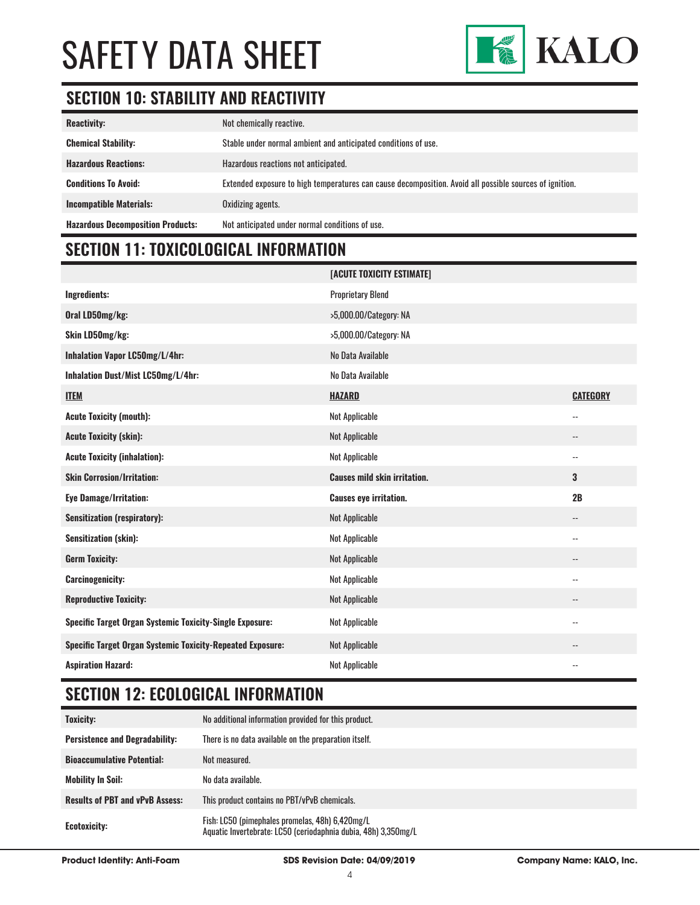

### **SECTION 10: STABILITY AND REACTIVITY**

| <b>Reactivity:</b>                       | Not chemically reactive.                                                                                |
|------------------------------------------|---------------------------------------------------------------------------------------------------------|
| <b>Chemical Stability:</b>               | Stable under normal ambient and anticipated conditions of use.                                          |
| <b>Hazardous Reactions:</b>              | Hazardous reactions not anticipated.                                                                    |
| <b>Conditions To Avoid:</b>              | Extended exposure to high temperatures can cause decomposition. Avoid all possible sources of ignition. |
| <b>Incompatible Materials:</b>           | Oxidizing agents.                                                                                       |
| <b>Hazardous Decomposition Products:</b> | Not anticipated under normal conditions of use.                                                         |

# **SECTION 11: TOXICOLOGICAL INFORMATION**

|                                                                   | [ACUTE TOXICITY ESTIMATE]           |                          |
|-------------------------------------------------------------------|-------------------------------------|--------------------------|
| Ingredients:                                                      | <b>Proprietary Blend</b>            |                          |
| Oral LD50mg/kg:                                                   | >5,000.00/Category: NA              |                          |
| Skin LD50mg/kg:                                                   | >5,000.00/Category: NA              |                          |
| Inhalation Vapor LC50mg/L/4hr:                                    | No Data Available                   |                          |
| Inhalation Dust/Mist LC50mg/L/4hr:                                | No Data Available                   |                          |
| <b>ITEM</b>                                                       | <b>HAZARD</b>                       | <b>CATEGORY</b>          |
| <b>Acute Toxicity (mouth):</b>                                    | Not Applicable                      | $\overline{\phantom{a}}$ |
| <b>Acute Toxicity (skin):</b>                                     | Not Applicable                      | $\overline{\phantom{a}}$ |
| <b>Acute Toxicity (inhalation):</b>                               | Not Applicable                      | $\overline{\phantom{a}}$ |
| <b>Skin Corrosion/Irritation:</b>                                 | <b>Causes mild skin irritation.</b> | 3                        |
| <b>Eye Damage/Irritation:</b>                                     | <b>Causes eye irritation.</b>       | 2B                       |
| <b>Sensitization (respiratory):</b>                               | Not Applicable                      | --                       |
| <b>Sensitization (skin):</b>                                      | Not Applicable                      | $\overline{\phantom{a}}$ |
| <b>Germ Toxicity:</b>                                             | <b>Not Applicable</b>               | --                       |
| <b>Carcinogenicity:</b>                                           | Not Applicable                      | $\overline{\phantom{a}}$ |
| <b>Reproductive Toxicity:</b>                                     | Not Applicable                      | --                       |
| <b>Specific Target Organ Systemic Toxicity-Single Exposure:</b>   | Not Applicable                      | $\overline{\phantom{a}}$ |
| <b>Specific Target Organ Systemic Toxicity-Repeated Exposure:</b> | Not Applicable                      | --                       |
| <b>Aspiration Hazard:</b>                                         | <b>Not Applicable</b>               | $\overline{\phantom{a}}$ |

# **SECTION 12: ECOLOGICAL INFORMATION**

| <b>Toxicity:</b>                       | No additional information provided for this product.                                                              |
|----------------------------------------|-------------------------------------------------------------------------------------------------------------------|
| <b>Persistence and Degradability:</b>  | There is no data available on the preparation itself.                                                             |
| <b>Bioaccumulative Potential:</b>      | Not measured.                                                                                                     |
| <b>Mobility In Soil:</b>               | No data available.                                                                                                |
| <b>Results of PBT and vPvB Assess:</b> | This product contains no PBT/vPvB chemicals.                                                                      |
| Ecotoxicity:                           | Fish: LC50 (pimephales promelas, 48h) 6,420mg/L<br>Aquatic Invertebrate: LC50 (ceriodaphnia dubia, 48h) 3,350mg/L |